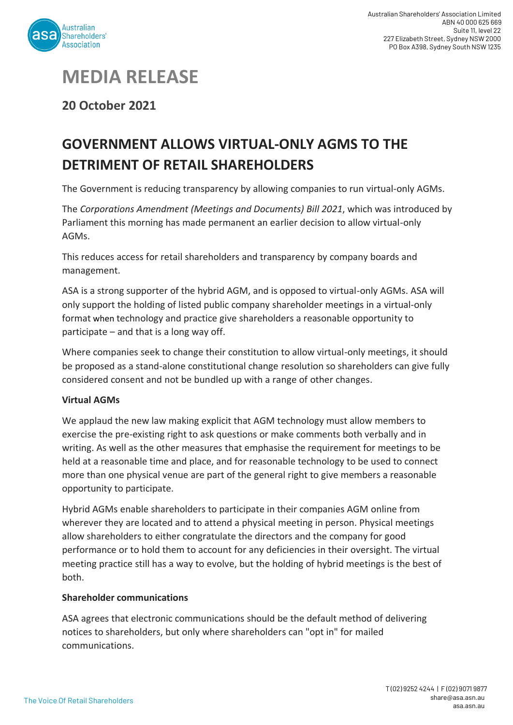

## **MEDIA RELEASE**

**20 October 2021**

## **GOVERNMENT ALLOWS VIRTUAL-ONLY AGMS TO THE DETRIMENT OF RETAIL SHAREHOLDERS**

The Government is reducing transparency by allowing companies to run virtual-only AGMs.

The *Corporations Amendment (Meetings and Documents) Bill 2021*, which was introduced by Parliament this morning has made permanent an earlier decision to allow virtual-only AGMs.

This reduces access for retail shareholders and transparency by company boards and management.

ASA is a strong supporter of the hybrid AGM, and is opposed to virtual-only AGMs. ASA will only support the holding of listed public company shareholder meetings in a virtual-only format when technology and practice give shareholders a reasonable opportunity to participate – and that is a long way off.

Where companies seek to change their constitution to allow virtual-only meetings, it should be proposed as a stand-alone constitutional change resolution so shareholders can give fully considered consent and not be bundled up with a range of other changes.

## **Virtual AGMs**

We applaud the new law making explicit that AGM technology must allow members to exercise the pre-existing right to ask questions or make comments both verbally and in writing. As well as the other measures that emphasise the requirement for meetings to be held at a reasonable time and place, and for reasonable technology to be used to connect more than one physical venue are part of the general right to give members a reasonable opportunity to participate.

Hybrid AGMs enable shareholders to participate in their companies AGM online from wherever they are located and to attend a physical meeting in person. Physical meetings allow shareholders to either congratulate the directors and the company for good performance or to hold them to account for any deficiencies in their oversight. The virtual meeting practice still has a way to evolve, but the holding of hybrid meetings is the best of both.

## **Shareholder communications**

ASA agrees that electronic communications should be the default method of delivering notices to shareholders, but only where shareholders can "opt in" for mailed communications.